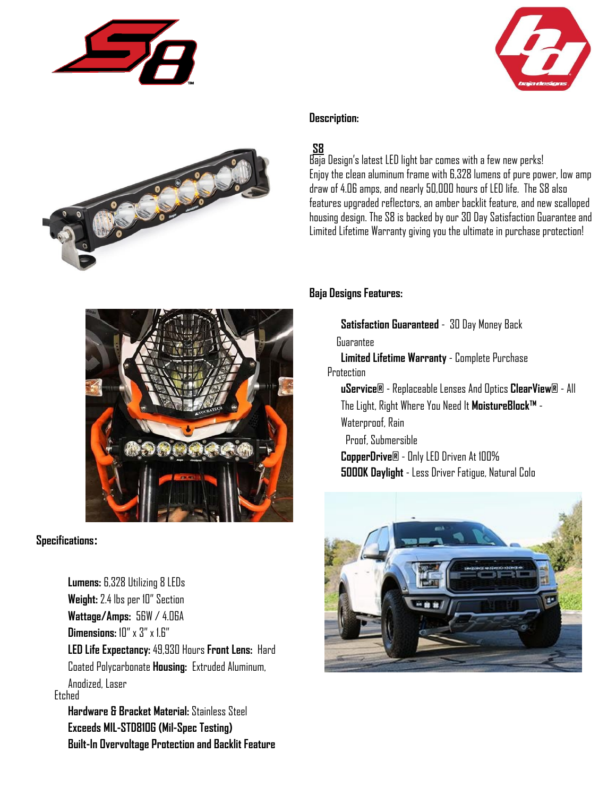



#### **Description:**

## **S8**

Baja Design's latest LED light bar comes with a few new perks! Enjoy the clean aluminum frame with 6,328 lumens of pure power, low amp draw of 4.06 amps, and nearly 50,000 hours of LED life. The S8 also features upgraded reflectors, an amber backlit feature, and new scalloped housing design. The S8 is backed by our 30 Day Satisfaction Guarantee and Limited Lifetime Warranty giving you the ultimate in purchase protection!



**Specifications:**

**Lumens:** 6,328 Utilizing 8 LEDs **Weight:** 2.4 lbs per 10" Section **Wattage/Amps:** 56W / 4.06A **Dimensions:** 10" x 3" x 1.6" **LED Life Expectancy:** 49,930 Hours **Front Lens:** Hard Coated Polycarbonate **Housing:** Extruded Aluminum, Anodized, Laser Etched **Hardware & Bracket Material:** Stainless Steel **Exceeds MIL-STD810G (Mil-Spec Testing) Built-In Overvoltage Protection and Backlit Feature**

#### **Baja Designs Features:**

**Satisfaction Guaranteed** - 30 Day Money Back

Guarantee

**Limited Lifetime Warranty** - Complete Purchase **Protection** 

**uService®** - Replaceable Lenses And Optics **ClearView®** - All The Light, Right Where You Need It **MoistureBlock™** - Waterproof, Rain Proof, Submersible

**CopperDrive®** - Only LED Driven At 100% **5000K Daylight** - Less Driver Fatigue, Natural Colo

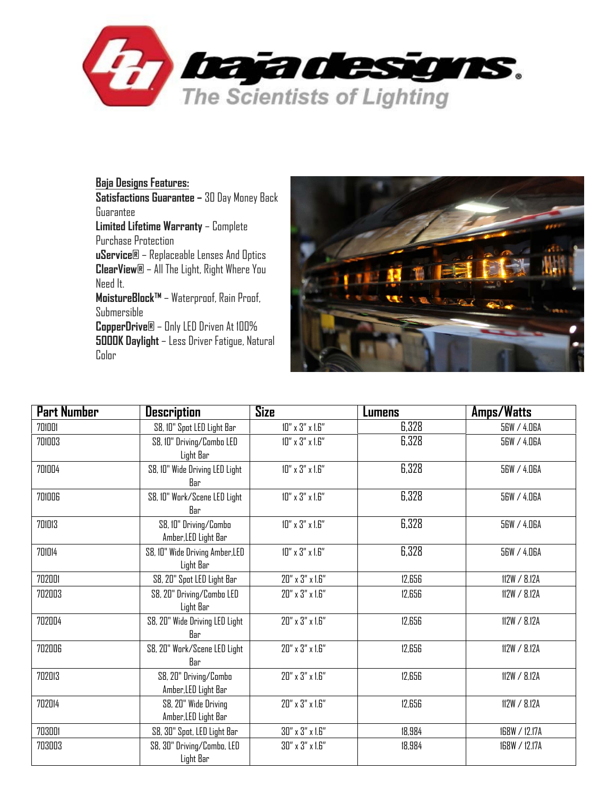

**Baja Designs Features: Satisfactions Guarantee –** 30 Day Money Back Guarantee **Limited Lifetime Warranty** – Complete Purchase Protection **uService®** – Replaceable Lenses And Optics **ClearView®** – All The Light, Right Where You Need It. **MoistureBlock™** – Waterproof, Rain Proof, Submersible **CopperDrive®** – Only LED Driven At 100% **5000K Daylight** – Less Driver Fatigue, Natural Color



| <b>Part Number</b> | <b>Description</b>                            | Size                           | Lumens | <b>Amps/Watts</b> |
|--------------------|-----------------------------------------------|--------------------------------|--------|-------------------|
| 701001             | S8, 10" Spot LED Light Bar                    | $10''$ x $3''$ x $1.6''$       | 6,328  | 56W / 4.06A       |
| 701003             | S8, 10" Driving/Combo LED                     | $10''$ x $3''$ x $1.6''$       | 6,328  | 56W / 4.06A       |
|                    | Light Bar                                     |                                |        |                   |
| 701004             | S8, 10" Wide Driving LED Light<br>Bar         | $10''$ x $3''$ x $1.6''$       | 6,328  | 56W / 4.06A       |
| 701006             | S8, 10" Work/Scene LED Light<br>Bar           | $10''$ x $3''$ x $1.6''$       | 6,328  | 56W / 4.06A       |
| 701013             | S8, 10" Driving/Combo<br>Amber, LED Light Bar | $10''$ x $3''$ x $1.6''$       | 6,328  | 56W / 4.06A       |
| 701014             | S8, 10" Wide Driving Amber, LED<br>Light Bar  | $10''$ x $3''$ x $1.6''$       | 6,328  | 56W / 4.06A       |
| 702001             | S8, 20" Spot LED Light Bar                    | $20'' \times 3'' \times 1.6''$ | 12,656 | 112W / 8.12A      |
| 702003             | S8, 20" Driving/Combo LED<br>Light Bar        | $20'' \times 3'' \times 1.6''$ | 12,656 | 112W / 8.12A      |
| 702004             | S8, 20" Wide Driving LED Light<br>Rar         | $20''$ x $3''$ x $1.6''$       | 12,656 | 112W / 8.12A      |
| 702006             | S8, 20" Work/Scene LED Light<br>Bar           | $20'' \times 3'' \times 1.6''$ | 12.656 | 112W / 8.12A      |
| 702013             | S8, 20" Driving/Combo<br>Amber, LED Light Bar | 20" x 3" x 1.6"                | 12,656 | 112W / 8.12A      |
| 702014             | S8, 20" Wide Driving<br>Amber, LED Light Bar  | $20''$ x $3''$ x $1.6''$       | 12,656 | 112W / 8.12A      |
| 703001             | S8, 30" Spot, LED Light Bar                   | $30''$ x $3''$ x $1.6''$       | 18.984 | 168W / 12.17A     |
| 703003             | S8, 30" Driving/Combo, LED<br>Light Bar       | $30''$ x $3''$ x $1.6''$       | 18,984 | 168W / 12.17A     |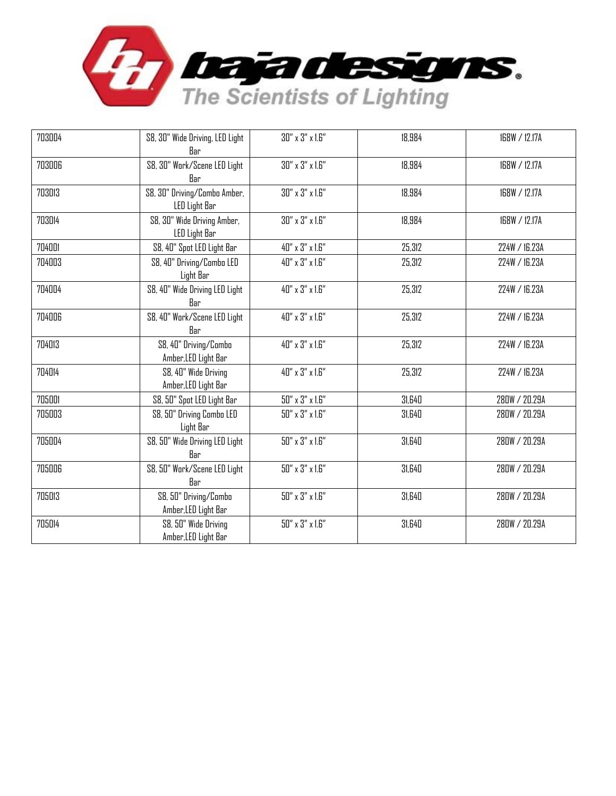

| 703004 | S8, 30" Wide Driving, LED Light<br>Bar        | $30''$ x $3''$ x $1.6''$       | 18.984 | 168W / 12.17A |
|--------|-----------------------------------------------|--------------------------------|--------|---------------|
| 703006 | S8, 30" Work/Scene LED Light<br>Bar           | $30''$ x $3''$ x $1.6''$       | 18,984 | 168W / 12.17A |
| 703013 | S8, 30" Driving/Combo Amber,<br>LED Light Bar | $30''$ x $3''$ x $1.6''$       | 18,984 | 168W / 12.17A |
| 703014 | S8, 30" Wide Driving Amber,<br>LED Light Bar  | $30''$ x $3''$ x $1.6''$       | 18,984 | 168W / 12.17A |
| 704001 | S8, 40" Spot LED Light Bar                    | 40" x 3" x 1.6"                | 25.312 | 224W / 16.23A |
| 704003 | S8, 40" Driving/Combo LED<br>Light Bar        | 40" x 3" x 1.6"                | 25,312 | 224W / 16.23A |
| 704004 | S8, 40" Wide Driving LED Light<br>Bar         | 40" x 3" x 1.6"                | 25,312 | 224W / 16.23A |
| 704006 | S8, 40" Work/Scene LED Light<br>Bar           | 40" x 3" x 1.6"                | 25,312 | 224W / 16.23A |
| 704013 | S8, 40" Driving/Combo<br>Amber, LED Light Bar | 40" x 3" x 1.6"                | 25,312 | 224W / 16.23A |
| 704014 | S8, 40" Wide Driving<br>Amber, LED Light Bar  | 40" x 3" x 1.6"                | 25,312 | 224W / 16.23A |
| 705001 | S8, 50" Spot LED Light Bar                    | $50''$ x $3''$ x $1.6''$       | 31,640 | 280W / 20.29A |
| 705003 | S8, 50" Driving Combo LED<br>Light Bar        | $50''$ x $3''$ x $1.6''$       | 31,640 | 280W / 20.29A |
| 705004 | S8, 50" Wide Driving LED Light<br>Bar         | $50'' \times 3'' \times 1.6''$ | 31,640 | 280W / 20.29A |
| 705006 | S8, 50" Work/Scene LED Light<br>Bar           | $50''$ x $3''$ x $1.6''$       | 31,640 | 280W / 20.29A |
| 705013 | S8, 50" Driving/Combo<br>Amber, LED Light Bar | $50''$ x $3''$ x $1.6''$       | 31,640 | 280W / 20.29A |
| 705014 | S8, 50" Wide Driving<br>Amber, LED Light Bar  | $50'' \times 3'' \times 1.6''$ | 31,640 | 280W / 20.29A |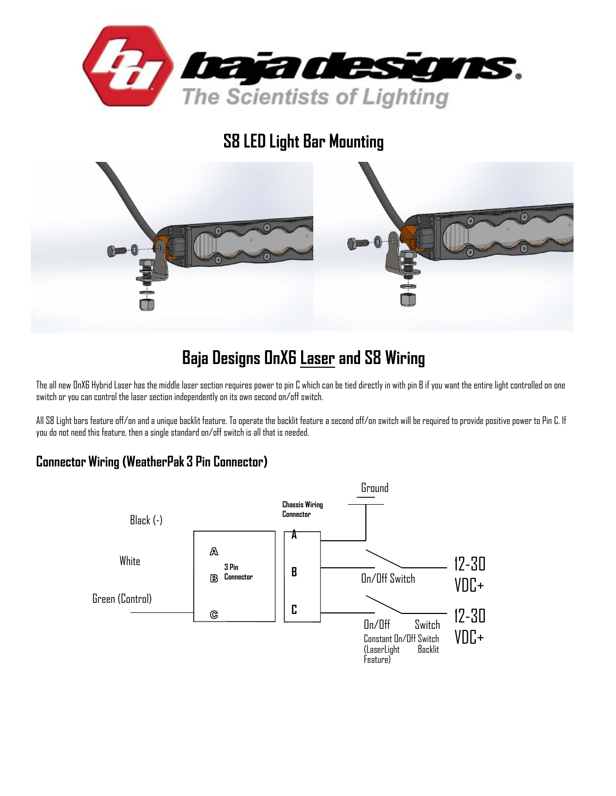

**S8 LED Light Bar Mounting** 



# **Baja Designs OnX6 Laser and S8 Wiring**

The all new OnX6 Hybrid Laser has the middle laser section requires power to pin C which can be tied directly in with pin B if you want the entire light controlled on one switch or you can control the laser section independently on its own second on/off switch.

All S8 Light bars feature off/on and a unique backlit feature. To operate the backlit feature a second off/on switch will be required to provide positive power to Pin C. If you do not need this feature, then a single standard on/off switch is all that is needed.

### **Connector Wiring (WeatherPak 3 Pin Connector)**